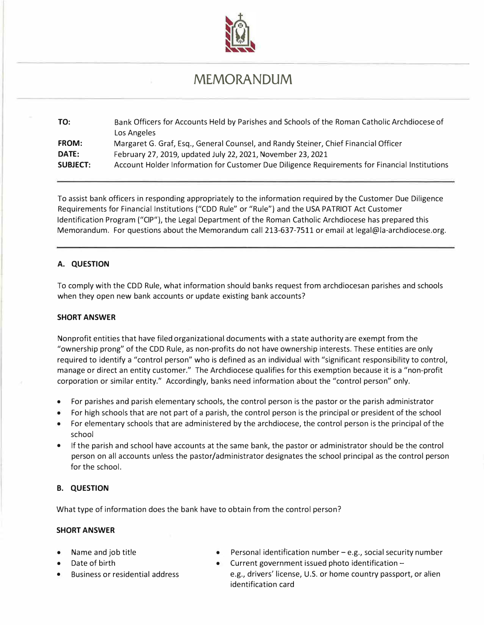

# **MEMORANDUM**

| TO:             | Bank Officers for Accounts Held by Parishes and Schools of the Roman Catholic Archdiocese of<br>Los Angeles |
|-----------------|-------------------------------------------------------------------------------------------------------------|
| <b>FROM:</b>    | Margaret G. Graf, Esq., General Counsel, and Randy Steiner, Chief Financial Officer                         |
| DATE:           | February 27, 2019, updated July 22, 2021, November 23, 2021                                                 |
| <b>SUBJECT:</b> | Account Holder Information for Customer Due Diligence Requirements for Financial Institutions               |

To assist bank officers in responding appropriately to the information required by the Customer Due Diligence Requirements for Financial Institutions ("COD Rule" or "Rule") and the USA PATRIOT Act Customer Identification Program ("CIP"), the Legal Department of the Roman Catholic Archdiocese has prepared this Memorandum. For questions about the Memorandum call 213-637-7511 or email at legal@la-archdiocese.org.

# **A. QUESTION**

To comply with the COD Rule, what information should banks request from archdiocesan parishes and schools when they open new bank accounts or update existing bank accounts?

# **SHORT ANSWER**

Nonprofit entities that have filed organizational documents with a state authority are exempt from the "ownership prong" of the COD Rule, as non-profits do not have ownership interests. These entities are only required to identify a "control person" who is defined as an individual with "significant responsibility to control, manage or direct an entity customer." The Archdiocese qualifies for this exemption because it is a "non-profit corporation or similar entity." Accordingly, banks need information about the "control person" only.

- For parishes and parish elementary schools, the control person is the pastor or the parish administrator
- For high schools that are not part of a parish, the control person is the principal or president of the school
- For elementary schools that are administered by the archdiocese, the control person is the principal of the school
- If the parish and school have accounts at the same bank, the pastor or administrator should be the control person on all accounts unless the pastor/administrator designates the school principal as the control person for the school.

# **B. QUESTION**

What type of information does the bank have to obtain from the control person?

#### **SHORT ANSWER**

- Name and job title
- Date of birth
- Business or residential address
- Personal identification number  $-e.g.,$  social security number
- Current government issued photo identification e.g., drivers' license, U.S. or home country passport, or alien identification card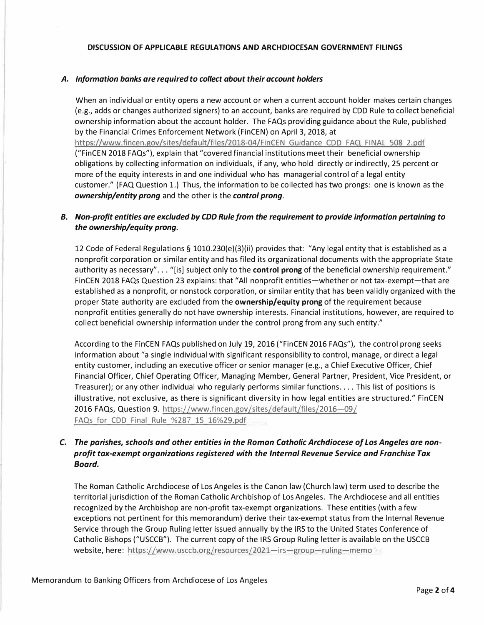#### *A. Information banks are required to collect about their account holders*

When an individual or entity opens a new account or when a current account holder makes certain changes (e.g., adds or changes authorized signers) to an account, banks are required by CDD Rule to collect beneficial ownership information about the account holder. The FAQs providing guidance about the Rule, published by the Financial Crimes Enforcement Network (FinCEN) on April 3, 2018, at https://www.fincen.gov/sites/default/files/2018-04/FinCEN Guidance CDD FAQ FINAL 508 2.pdf ("FinCEN 2018 FAQs"), explain that "covered financial institutions meet their beneficial ownership

obligations by collecting information on individuals, if any, who hold directly or indirectly, 25 percent or more of the equity interests in and one individual who has managerial control of a legal entity customer." (FAQ Question 1.) Thus, the information to be collected has two prongs: one is known as the *ownership/entity prong* and the other is the *control prong.* 

# *B. Non-profit entities are excluded by CDD Rule from the requirement to provide information pertaining to the ownership/equity prong.*

12 Code of Federal Regulations§ 1010.230(e)(3)(ii) provides that: "Any legal entity that is established as a nonprofit corporation or similar entity and has filed its organizational documents with the appropriate State authority as necessary"... "[is] subject only to the **control prong** of the beneficial ownership requirement." FinCEN 2018 FAQs Question 23 explains: that "All nonprofit entities-whether or not tax-exempt-that are established as a nonprofit, or nonstock corporation, or similar entity that has been validly organized with the proper State authority are excluded from the **ownership/equity prong** of the requirement because nonprofit entities generally do not have ownership interests. Financial institutions, however, are required to collect beneficial ownership information under the control prong from any such entity."

According to the FinCEN FAQs published on July 19, 2016 ("FinCEN 2016 FAQs"), the control prong seeks information about "a single individual with significant responsibility to control, manage, or direct a legal entity customer, including an executive officer or senior manager (e.g., a Chief Executive Officer, Chief Financial Officer, Chief Operating Officer, Managing Member, General Partner, President, Vice President, or Treasurer); or any other individual who regularly performs similar functions .... This list of positions is illustrative, not exclusive, as there is significant diversity in how legal entities are structured." FinCEN 2016 FAQs, Question 9. https://www.fincen.gov/sites/default/files/2016-09/ FAQs for CDD Final Rule %287 15 16%29.pdf

# *C. The parishes, schools and other entities in the Roman Catholic Archdiocese of Los Angeles are nonprofit tax-exempt organizations registered with the Internal Revenue Service and Franchise Tax Board.*

The Roman Catholic Archdiocese of Los Angeles is the Canon law (Church law) term used to describe the territorial jurisdiction of the Roman Catholic Archbishop of Los Angeles. The Archdiocese and all entities recognized by the Archbishop are non-profit tax-exempt organizations. These entities (with a few exceptions not pertinent for this memorandum) derive their tax-exempt status from the Internal Revenue Service through the Group Ruling letter issued annually by the IRS to the United States Conference of Catholic Bishops ("USCCB"). The current copy of the IRS Group Ruling letter is available on the USCCB website, here: https://www.usccb.org/resources/2021-irs-group-ruling-memo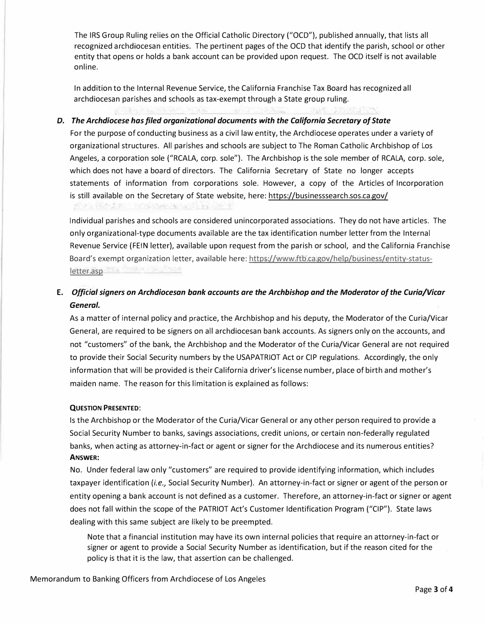The IRS Group Ruling relies on the Official Catholic Directory ("OCD"), published annually, that lists all recognized archdiocesan entities. The pertinent pages of the OCD that identify the parish, school or other entity that opens or holds a bank account can be provided upon request. The OCD itself is not available online.

In addition to the Internal Revenue Service, the California Franchise Tax Board has recognized all archdiocesan parishes and schools as tax-exempt through a State group ruling.

*D. The Archdiocese has filed organizational documents with the California Secretary of State*

For the purpose of conducting business as a civil law entity, the Archdiocese operates under a variety of organizational structures. All parishes and schools are subject to The Roman Catholic Archbishop of Los Angeles, a corporation sole ("RCALA, corp. sole"). The Archbishop is the sole member of RCALA, corp. sole, which does not have a board of directors. The California Secretary of State no longer accepts statements of information from corporations sole. However, a copy of the Articles of Incorporation is still available on the Secretary of State website, here: https://businesssearch.sos.ca.gov/

Individual parishes and schools are considered unincorporated associations. They do not have articles. The only organizational-type documents available are the tax identification number letter from the Internal Revenue Service (FEIN letter), available upon request from the parish or school, and the California Franchise Board's exempt organization letter, available here: https://www.ftb.ca.gov/help/business/entity-statusletter.asp and the contract of the contract of the contract of the contract of the contract of the contract of

**E.** *Official signers on Archdiocesan bank accounts are the Archbishop and the Moderator of the Curia/Vicar General.*

As a matter of internal policy and practice, the Archbishop and his deputy, the Moderator of the Curia/Vicar General, are required to be signers on all archdiocesan bank accounts. As signers only on the accounts, and not "customers" of the bank, the Archbishop and the Moderator of the Curia/Vicar General are not required to provide their Social Security numbers by the USAPATRIOT Act or CIP regulations. Accordingly, the only information that will be provided is their California driver'slicense number, place of birth and mother's maiden name. The reason for this limitation is explained as follows:

# **QUESTION PRESENTED:**

Is the Archbishop or the Moderator of the Curia/Vicar General or any other person required to provide a Social Security Number to banks, savings associations, credit unions, or certain non-federally regulated banks, when acting as attorney-in-fact or agent or signer for the Archdiocese and its numerous entities? **ANSWER:**

No. Under federal law only "customers" are required to provide identifying information, which includes taxpayer identification *(i.e.,* Social Security Number). An attorney-in-fact or signer or agent of the person or entity opening a bank account is not defined as a customer. Therefore, an attorney-in-fact or signer or agent does not fall within the scope of the PATRIOT Act's Customer Identification Program ("CIP"). State laws dealing with this same subject are likely to be preempted.

Note that a financial institution may have its own internal policies that require an attorney-in-fact or signer or agent to provide a Social Security Number as identification, but if the reason cited for the policy is that it is the law, that assertion can be challenged.

Memorandum to Banking Officers from Archdiocese of Los Angeles

7사장, 김화 개발 - 그러나 사용 XX 1/4사 1/4 사원